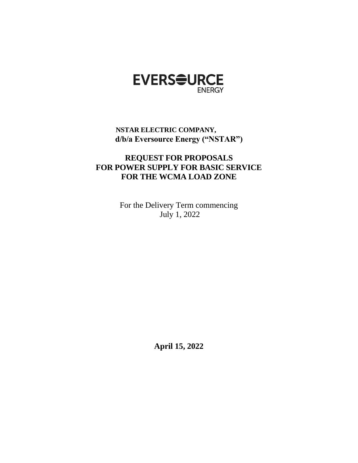

# **NSTAR ELECTRIC COMPANY, d/b/a Eversource Energy ("NSTAR")**

# **REQUEST FOR PROPOSALS FOR POWER SUPPLY FOR BASIC SERVICE FOR THE WCMA LOAD ZONE**

For the Delivery Term commencing July 1, 2022

**April 15, 2022**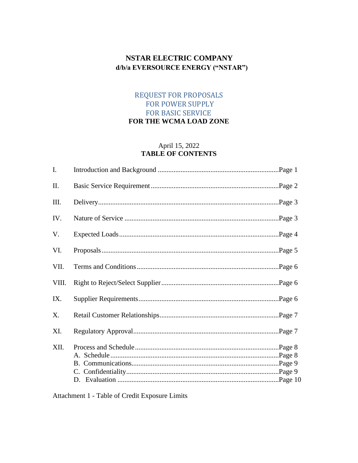# **NSTAR ELECTRIC COMPANY** d/b/a EVERSOURCE ENERGY ("NSTAR")

## REQUEST FOR PROPOSALS FOR POWER SUPPLY **FOR BASIC SERVICE** FOR THE WCMA LOAD ZONE

### April 15, 2022 **TABLE OF CONTENTS**

Attachment 1 - Table of Credit Exposure Limits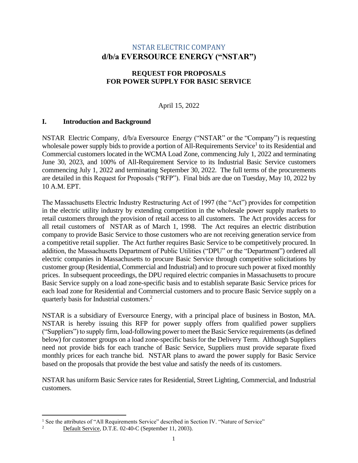## NSTAR ELECTRIC COMPANY **d/b/a EVERSOURCE ENERGY ("NSTAR")**

### **REQUEST FOR PROPOSALS FOR POWER SUPPLY FOR BASIC SERVICE**

## April 15, 2022

### **I. Introduction and Background**

NSTAR Electric Company, d/b/a Eversource Energy ("NSTAR" or the "Company") is requesting wholesale power supply bids to provide a portion of All-Requirements Service<sup>1</sup> to its Residential and Commercial customers located in the WCMA Load Zone, commencing July 1, 2022 and terminating June 30, 2023, and 100% of All-Requirement Service to its Industrial Basic Service customers commencing July 1, 2022 and terminating September 30, 2022. The full terms of the procurements are detailed in this Request for Proposals ("RFP"). Final bids are due on Tuesday, May 10, 2022 by 10 A.M. EPT.

The Massachusetts Electric Industry Restructuring Act of 1997 (the "Act") provides for competition in the electric utility industry by extending competition in the wholesale power supply markets to retail customers through the provision of retail access to all customers. The Act provides access for all retail customers of NSTAR as of March 1, 1998. The Act requires an electric distribution company to provide Basic Service to those customers who are not receiving generation service from a competitive retail supplier. The Act further requires Basic Service to be competitively procured. In addition, the Massachusetts Department of Public Utilities ("DPU" or the "Department") ordered all electric companies in Massachusetts to procure Basic Service through competitive solicitations by customer group (Residential, Commercial and Industrial) and to procure such power at fixed monthly prices. In subsequent proceedings, the DPU required electric companies in Massachusetts to procure Basic Service supply on a load zone-specific basis and to establish separate Basic Service prices for each load zone for Residential and Commercial customers and to procure Basic Service supply on a quarterly basis for Industrial customers.<sup>2</sup>

NSTAR is a subsidiary of Eversource Energy, with a principal place of business in Boston, MA. NSTAR is hereby issuing this RFP for power supply offers from qualified power suppliers ("Suppliers") to supply firm, load-following power to meet the Basic Service requirements (as defined below) for customer groups on a load zone-specific basis for the Delivery Term. Although Suppliers need not provide bids for each tranche of Basic Service, Suppliers must provide separate fixed monthly prices for each tranche bid. NSTAR plans to award the power supply for Basic Service based on the proposals that provide the best value and satisfy the needs of its customers.

NSTAR has uniform Basic Service rates for Residential, Street Lighting, Commercial, and Industrial customers.

<sup>&</sup>lt;sup>1</sup> See the attributes of "All Requirements Service" described in Section IV. "Nature of Service"<br>
<sup>2</sup> Defeult Service, D.T.E. 02.40 C. (September 11, 2003)

Default Service, D.T.E. 02-40-C (September 11, 2003).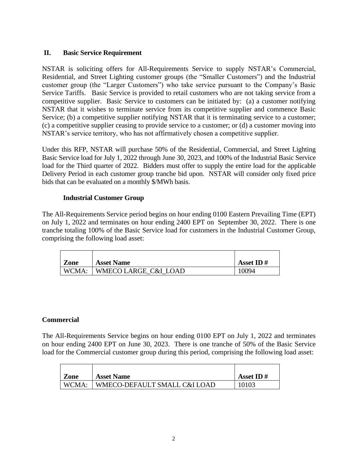## **II. Basic Service Requirement**

NSTAR is soliciting offers for All-Requirements Service to supply NSTAR's Commercial, Residential, and Street Lighting customer groups (the "Smaller Customers") and the Industrial customer group (the "Larger Customers") who take service pursuant to the Company's Basic Service Tariffs. Basic Service is provided to retail customers who are not taking service from a competitive supplier. Basic Service to customers can be initiated by: (a) a customer notifying NSTAR that it wishes to terminate service from its competitive supplier and commence Basic Service; (b) a competitive supplier notifying NSTAR that it is terminating service to a customer; (c) a competitive supplier ceasing to provide service to a customer; or (d) a customer moving into NSTAR's service territory, who has not affirmatively chosen a competitive supplier.

Under this RFP, NSTAR will purchase 50% of the Residential, Commercial, and Street Lighting Basic Service load for July 1, 2022 through June 30, 2023, and 100% of the Industrial Basic Service load for the Third quarter of 2022. Bidders must offer to supply the entire load for the applicable Delivery Period in each customer group tranche bid upon. NSTAR will consider only fixed price bids that can be evaluated on a monthly \$/MWh basis.

### **Industrial Customer Group**

The All-Requirements Service period begins on hour ending 0100 Eastern Prevailing Time (EPT) on July 1, 2022 and terminates on hour ending 2400 EPT on September 30, 2022. There is one tranche totaling 100% of the Basic Service load for customers in the Industrial Customer Group, comprising the following load asset:

| Zone  | <b>Asset Name</b>    | Asset ID $#$ |
|-------|----------------------|--------------|
| WCMA: | WMECO LARGE C&I LOAD | 10094        |

## **Commercial**

The All-Requirements Service begins on hour ending 0100 EPT on July 1, 2022 and terminates on hour ending 2400 EPT on June 30, 2023. There is one tranche of 50% of the Basic Service load for the Commercial customer group during this period, comprising the following load asset:

| Zone  | <b>Asset Name</b>            | Asset ID $#$ |
|-------|------------------------------|--------------|
| WCMA: | WMECO-DEFAULT SMALL C&I LOAD | 10103        |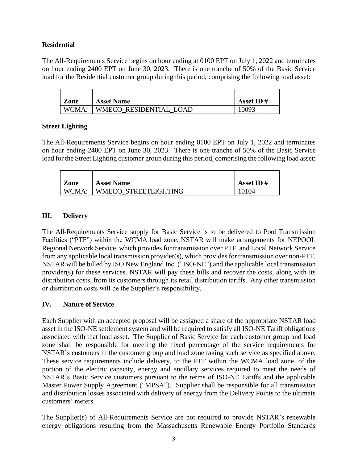### **Residential**

The All-Requirements Service begins on hour ending at 0100 EPT on July 1, 2022 and terminates on hour ending 2400 EPT on June 30, 2023. There is one tranche of 50% of the Basic Service load for the Residential customer group during this period, comprising the following load asset:

| Zone  | <b>Asset Name</b>      | Asset ID $#$ |
|-------|------------------------|--------------|
| WCMA: | WMECO RESIDENTIAL LOAD | 10093        |

### **Street Lighting**

The All-Requirements Service begins on hour ending 0100 EPT on July 1, 2022 and terminates on hour ending 2400 EPT on June 30, 2023. There is one tranche of 50% of the Basic Service load for the Street Lighting customer group during this period, comprising the following load asset:

| Zone  | <b>Asset Name</b>    | Asset ID $#$ |
|-------|----------------------|--------------|
| WCMA: | WMECO STREETLIGHTING | 10104        |

### **III. Delivery**

The All-Requirements Service supply for Basic Service is to be delivered to Pool Transmission Facilities ("PTF") within the WCMA load zone. NSTAR will make arrangements for NEPOOL Regional Network Service, which provides for transmission over PTF, and Local Network Service from any applicable local transmission provider(s), which provides for transmission over non-PTF. NSTAR will be billed by ISO New England Inc. ("ISO-NE") and the applicable local transmission provider(s) for these services. NSTAR will pay these bills and recover the costs, along with its distribution costs, from its customers through its retail distribution tariffs. Any other transmission or distribution costs will be the Supplier's responsibility.

#### **IV. Nature of Service**

Each Supplier with an accepted proposal will be assigned a share of the appropriate NSTAR load asset in the ISO-NE settlement system and will be required to satisfy all ISO-NE Tariff obligations associated with that load asset. The Supplier of Basic Service for each customer group and load zone shall be responsible for meeting the fixed percentage of the service requirements for NSTAR's customers in the customer group and load zone taking such service as specified above. These service requirements include delivery, to the PTF within the WCMA load zone, of the portion of the electric capacity, energy and ancillary services required to meet the needs of NSTAR's Basic Service customers pursuant to the terms of ISO-NE Tariffs and the applicable Master Power Supply Agreement ("MPSA"). Supplier shall be responsible for all transmission and distribution losses associated with delivery of energy from the Delivery Points to the ultimate customers' meters.

The Supplier(s) of All-Requirements Service are not required to provide NSTAR's renewable energy obligations resulting from the Massachusetts Renewable Energy Portfolio Standards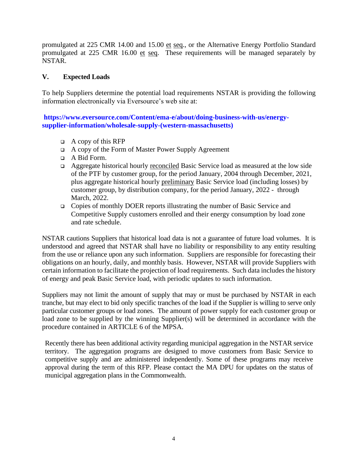promulgated at 225 CMR 14.00 and 15.00 et seq., or the Alternative Energy Portfolio Standard promulgated at 225 CMR 16.00 et seq. These requirements will be managed separately by NSTAR.

#### **V. Expected Loads**

To help Suppliers determine the potential load requirements NSTAR is providing the following information electronically via Eversource's web site at:

**https://www.eversource.com/Content/ema-e/about/doing-business-with-us/energysupplier-information/wholesale-supply-(western-massachusetts)**

- $\Box$  A copy of this RFP
- ❑ A copy of the Form of Master Power Supply Agreement
- ❑ A Bid Form.
- ❑ Aggregate historical hourly reconciled Basic Service load as measured at the low side of the PTF by customer group, for the period January, 2004 through December, 2021, plus aggregate historical hourly preliminary Basic Service load (including losses) by customer group, by distribution company, for the period January, 2022 - through March, 2022.
- ❑ Copies of monthly DOER reports illustrating the number of Basic Service and Competitive Supply customers enrolled and their energy consumption by load zone and rate schedule.

NSTAR cautions Suppliers that historical load data is not a guarantee of future load volumes. It is understood and agreed that NSTAR shall have no liability or responsibility to any entity resulting from the use or reliance upon any such information. Suppliers are responsible for forecasting their obligations on an hourly, daily, and monthly basis. However, NSTAR will provide Suppliers with certain information to facilitate the projection of load requirements. Such data includes the history of energy and peak Basic Service load, with periodic updates to such information.

Suppliers may not limit the amount of supply that may or must be purchased by NSTAR in each tranche, but may elect to bid only specific tranches of the load if the Supplier is willing to serve only particular customer groups or load zones. The amount of power supply for each customer group or load zone to be supplied by the winning Supplier(s) will be determined in accordance with the procedure contained in ARTICLE 6 of the MPSA.

Recently there has been additional activity regarding municipal aggregation in the NSTAR service territory. The aggregation programs are designed to move customers from Basic Service to competitive supply and are administered independently. Some of these programs may receive approval during the term of this RFP. Please contact the MA DPU for updates on the status of municipal aggregation plans in the Commonwealth.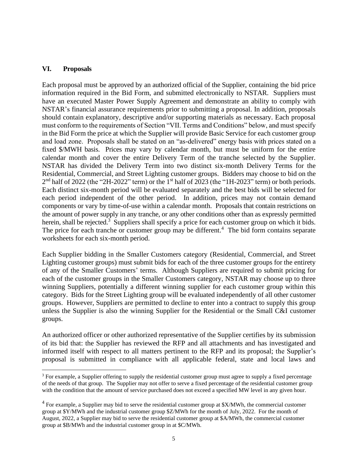#### **VI. Proposals**

Each proposal must be approved by an authorized official of the Supplier, containing the bid price information required in the Bid Form, and submitted electronically to NSTAR. Suppliers must have an executed Master Power Supply Agreement and demonstrate an ability to comply with NSTAR's financial assurance requirements prior to submitting a proposal. In addition, proposals should contain explanatory, descriptive and/or supporting materials as necessary. Each proposal must conform to the requirements of Section "VII. Terms and Conditions" below, and must specify in the Bid Form the price at which the Supplier will provide Basic Service for each customer group and load zone. Proposals shall be stated on an "as-delivered" energy basis with prices stated on a fixed \$/MWH basis. Prices may vary by calendar month, but must be uniform for the entire calendar month and cover the entire Delivery Term of the tranche selected by the Supplier. NSTAR has divided the Delivery Term into two distinct six-month Delivery Terms for the Residential, Commercial, and Street Lighting customer groups. Bidders may choose to bid on the  $2<sup>nd</sup>$  half of 2022 (the "2H-2022" term) or the 1<sup>st</sup> half of 2023 (the "1H-2023" term) or both periods. Each distinct six-month period will be evaluated separately and the best bids will be selected for each period independent of the other period. In addition, prices may not contain demand components or vary by time-of-use within a calendar month. Proposals that contain restrictions on the amount of power supply in any tranche, or any other conditions other than as expressly permitted herein, shall be rejected.<sup>3</sup> Suppliers shall specify a price for each customer group on which it bids. The price for each tranche or customer group may be different.<sup>4</sup> The bid form contains separate worksheets for each six-month period.

Each Supplier bidding in the Smaller Customers category (Residential, Commercial, and Street Lighting customer groups) must submit bids for each of the three customer groups for the entirety of any of the Smaller Customers' terms. Although Suppliers are required to submit pricing for each of the customer groups in the Smaller Customers category, NSTAR may choose up to three winning Suppliers, potentially a different winning supplier for each customer group within this category. Bids for the Street Lighting group will be evaluated independently of all other customer groups. However, Suppliers are permitted to decline to enter into a contract to supply this group unless the Supplier is also the winning Supplier for the Residential or the Small C&I customer groups.

An authorized officer or other authorized representative of the Supplier certifies by its submission of its bid that: the Supplier has reviewed the RFP and all attachments and has investigated and informed itself with respect to all matters pertinent to the RFP and its proposal; the Supplier's proposal is submitted in compliance with all applicable federal, state and local laws and

<sup>&</sup>lt;sup>3</sup> For example, a Supplier offering to supply the residential customer group must agree to supply a fixed percentage of the needs of that group. The Supplier may not offer to serve a fixed percentage of the residential customer group with the condition that the amount of service purchased does not exceed a specified MW level in any given hour.

 $4$  For example, a Supplier may bid to serve the residential customer group at \$X/MWh, the commercial customer group at \$Y/MWh and the industrial customer group \$Z/MWh for the month of July, 2022. For the month of August, 2022, a Supplier may bid to serve the residential customer group at \$A/MWh, the commercial customer group at \$B/MWh and the industrial customer group in at \$C/MWh.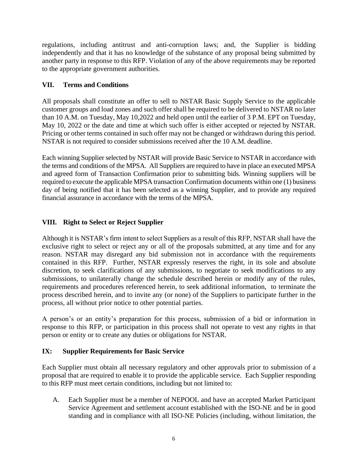regulations, including antitrust and anti-corruption laws; and, the Supplier is bidding independently and that it has no knowledge of the substance of any proposal being submitted by another party in response to this RFP. Violation of any of the above requirements may be reported to the appropriate government authorities.

## **VII. Terms and Conditions**

All proposals shall constitute an offer to sell to NSTAR Basic Supply Service to the applicable customer groups and load zones and such offer shall be required to be delivered to NSTAR no later than 10 A.M. on Tuesday, May 10,2022 and held open until the earlier of 3 P.M. EPT on Tuesday, May 10, 2022 or the date and time at which such offer is either accepted or rejected by NSTAR. Pricing or other terms contained in such offer may not be changed or withdrawn during this period. NSTAR is not required to consider submissions received after the 10 A.M. deadline.

Each winning Supplier selected by NSTAR will provide Basic Service to NSTAR in accordance with the terms and conditions of the MPSA. All Suppliers are required to have in place an executed MPSA and agreed form of Transaction Confirmation prior to submitting bids. Winning suppliers will be required to execute the applicable MPSA transaction Confirmation documents within one (1) business day of being notified that it has been selected as a winning Supplier, and to provide any required financial assurance in accordance with the terms of the MPSA.

## **VIII. Right to Select or Reject Supplier**

Although it is NSTAR's firm intent to select Suppliers as a result of this RFP, NSTAR shall have the exclusive right to select or reject any or all of the proposals submitted, at any time and for any reason. NSTAR may disregard any bid submission not in accordance with the requirements contained in this RFP. Further, NSTAR expressly reserves the right, in its sole and absolute discretion, to seek clarifications of any submissions, to negotiate to seek modifications to any submissions, to unilaterally change the schedule described herein or modify any of the rules, requirements and procedures referenced herein, to seek additional information, to terminate the process described herein, and to invite any (or none) of the Suppliers to participate further in the process, all without prior notice to other potential parties.

A person's or an entity's preparation for this process, submission of a bid or information in response to this RFP, or participation in this process shall not operate to vest any rights in that person or entity or to create any duties or obligations for NSTAR.

## **IX: Supplier Requirements for Basic Service**

Each Supplier must obtain all necessary regulatory and other approvals prior to submission of a proposal that are required to enable it to provide the applicable service. Each Supplier responding to this RFP must meet certain conditions, including but not limited to:

A. Each Supplier must be a member of NEPOOL and have an accepted Market Participant Service Agreement and settlement account established with the ISO-NE and be in good standing and in compliance with all ISO-NE Policies (including, without limitation, the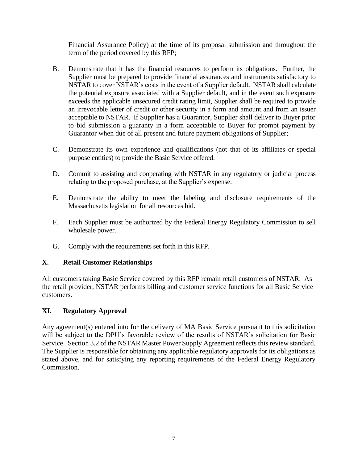Financial Assurance Policy) at the time of its proposal submission and throughout the term of the period covered by this RFP;

- B. Demonstrate that it has the financial resources to perform its obligations. Further, the Supplier must be prepared to provide financial assurances and instruments satisfactory to NSTAR to cover NSTAR's costs in the event of a Supplier default. NSTAR shall calculate the potential exposure associated with a Supplier default, and in the event such exposure exceeds the applicable unsecured credit rating limit, Supplier shall be required to provide an irrevocable letter of credit or other security in a form and amount and from an issuer acceptable to NSTAR. If Supplier has a Guarantor, Supplier shall deliver to Buyer prior to bid submission a guaranty in a form acceptable to Buyer for prompt payment by Guarantor when due of all present and future payment obligations of Supplier;
- C. Demonstrate its own experience and qualifications (not that of its affiliates or special purpose entities) to provide the Basic Service offered.
- D. Commit to assisting and cooperating with NSTAR in any regulatory or judicial process relating to the proposed purchase, at the Supplier's expense.
- E. Demonstrate the ability to meet the labeling and disclosure requirements of the Massachusetts legislation for all resources bid.
- F. Each Supplier must be authorized by the Federal Energy Regulatory Commission to sell wholesale power.
- G. Comply with the requirements set forth in this RFP.

#### **X. Retail Customer Relationships**

All customers taking Basic Service covered by this RFP remain retail customers of NSTAR. As the retail provider, NSTAR performs billing and customer service functions for all Basic Service customers.

## **XI. Regulatory Approval**

Any agreement(s) entered into for the delivery of MA Basic Service pursuant to this solicitation will be subject to the DPU's favorable review of the results of NSTAR's solicitation for Basic Service. Section 3.2 of the NSTAR Master Power Supply Agreement reflects this review standard. The Supplier is responsible for obtaining any applicable regulatory approvals for its obligations as stated above, and for satisfying any reporting requirements of the Federal Energy Regulatory Commission.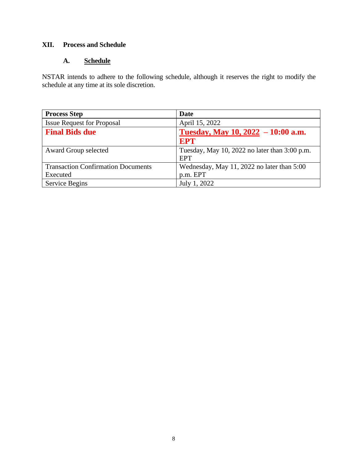## **XII. Process and Schedule**

## **A. Schedule**

NSTAR intends to adhere to the following schedule, although it reserves the right to modify the schedule at any time at its sole discretion.

| <b>Process Step</b>                       | <b>Date</b>                                                 |
|-------------------------------------------|-------------------------------------------------------------|
| <b>Issue Request for Proposal</b>         | April 15, 2022                                              |
| <b>Final Bids due</b>                     | Tuesday, May 10, $2022 - 10:00$ a.m.                        |
|                                           | <b>EPT</b>                                                  |
| Award Group selected                      | Tuesday, May 10, 2022 no later than 3:00 p.m.<br><b>EPT</b> |
| <b>Transaction Confirmation Documents</b> | Wednesday, May 11, 2022 no later than 5:00                  |
| Executed                                  | p.m. EPT                                                    |
| Service Begins                            | July 1, 2022                                                |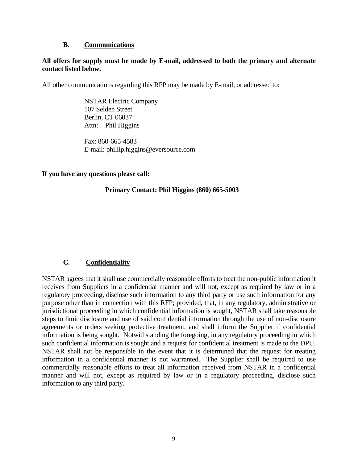#### **B. Communications**

#### **All offers for supply must be made by E-mail, addressed to both the primary and alternate contact listed below.**

All other communications regarding this RFP may be made by E-mail, or addressed to:

NSTAR Electric Company 107 Selden Street Berlin, CT 06037 Attn: Phil Higgins

Fax: 860-665-4583 E-mail: phillip.higgins@eversource.com

#### **If you have any questions please call:**

#### **Primary Contact: Phil Higgins (860) 665-5003**

#### **C. Confidentiality**

NSTAR agrees that it shall use commercially reasonable efforts to treat the non-public information it receives from Suppliers in a confidential manner and will not, except as required by law or in a regulatory proceeding, disclose such information to any third party or use such information for any purpose other than in connection with this RFP; provided, that, in any regulatory, administrative or jurisdictional proceeding in which confidential information is sought, NSTAR shall take reasonable steps to limit disclosure and use of said confidential information through the use of non-disclosure agreements or orders seeking protective treatment, and shall inform the Supplier if confidential information is being sought. Notwithstanding the foregoing, in any regulatory proceeding in which such confidential information is sought and a request for confidential treatment is made to the DPU, NSTAR shall not be responsible in the event that it is determined that the request for treating information in a confidential manner is not warranted. The Supplier shall be required to use commercially reasonable efforts to treat all information received from NSTAR in a confidential manner and will not, except as required by law or in a regulatory proceeding, disclose such information to any third party.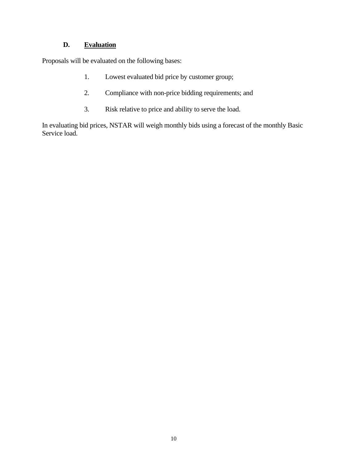## **D. Evaluation**

Proposals will be evaluated on the following bases:

- 1. Lowest evaluated bid price by customer group;
- 2. Compliance with non-price bidding requirements; and
- 3. Risk relative to price and ability to serve the load.

In evaluating bid prices, NSTAR will weigh monthly bids using a forecast of the monthly Basic Service load.